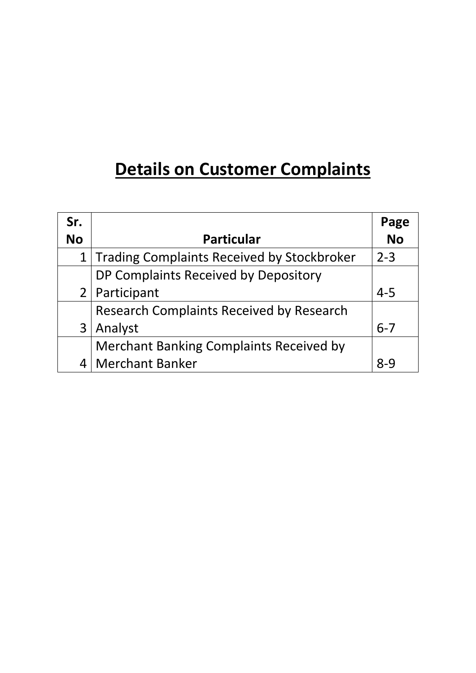# **Details on Customer Complaints**

| Sr.            |                                                 | Page      |
|----------------|-------------------------------------------------|-----------|
| <b>No</b>      | <b>Particular</b>                               | <b>No</b> |
|                | 1 Trading Complaints Received by Stockbroker    | $2 - 3$   |
|                | DP Complaints Received by Depository            |           |
|                | $2$   Participant                               | $4 - 5$   |
|                | <b>Research Complaints Received by Research</b> |           |
| 3 <sup>1</sup> | Analyst                                         | $6 - 7$   |
|                | <b>Merchant Banking Complaints Received by</b>  |           |
|                | <b>Merchant Banker</b>                          | Ջ-C       |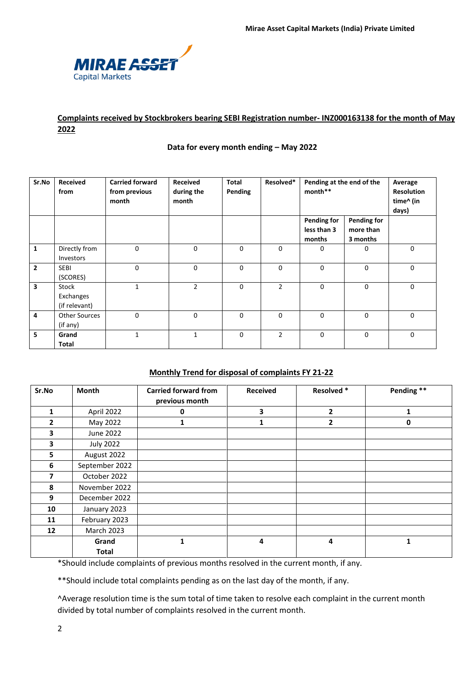

## **Complaints received by Stockbrokers bearing SEBI Registration number- INZ000163138 for the month of May 2022**

#### **Data for every month ending – May 2022**

| Sr.No                   | <b>Received</b><br>from             | <b>Carried forward</b><br>from previous<br>month | <b>Received</b><br>during the<br>month | <b>Total</b><br>Pending | Resolved*      | Pending at the end of the<br>month**        |                                             | Average<br><b>Resolution</b><br>time^ (in<br>days) |
|-------------------------|-------------------------------------|--------------------------------------------------|----------------------------------------|-------------------------|----------------|---------------------------------------------|---------------------------------------------|----------------------------------------------------|
|                         |                                     |                                                  |                                        |                         |                | <b>Pending for</b><br>less than 3<br>months | <b>Pending for</b><br>more than<br>3 months |                                                    |
| $\mathbf{1}$            | Directly from<br>Investors          | 0                                                | 0                                      | $\Omega$                | 0              | $\mathbf 0$                                 | 0                                           | 0                                                  |
| $\overline{2}$          | SEBI<br>(SCORES)                    | 0                                                | $\mathbf 0$                            | 0                       | 0              | $\mathbf 0$                                 | $\mathbf 0$                                 | $\mathbf 0$                                        |
| $\overline{\mathbf{3}}$ | Stock<br>Exchanges<br>(if relevant) | $\mathbf{1}$                                     | $\overline{2}$                         | 0                       | $\overline{2}$ | $\mathbf 0$                                 | $\mathbf 0$                                 | 0                                                  |
| 4                       | <b>Other Sources</b><br>(if any)    | 0                                                | 0                                      | $\Omega$                | 0              | $\mathbf 0$                                 | $\mathbf 0$                                 | 0                                                  |
| 5                       | Grand<br>Total                      | $\mathbf{1}$                                     | $\mathbf{1}$                           | $\Omega$                | $\overline{2}$ | $\mathbf 0$                                 | $\mathbf 0$                                 | 0                                                  |

## **Monthly Trend for disposal of complaints FY 21-22**

| Sr.No          | <b>Month</b>      | <b>Carried forward from</b><br>previous month | Received | Resolved *     | Pending ** |
|----------------|-------------------|-----------------------------------------------|----------|----------------|------------|
| 1              | April 2022        | 0                                             | 3        | $\overline{2}$ | 1          |
| $\overline{2}$ | May 2022          | 1                                             | 1        | 2              | 0          |
| 3              | June 2022         |                                               |          |                |            |
| 3              | <b>July 2022</b>  |                                               |          |                |            |
| 5.             | August 2022       |                                               |          |                |            |
| 6              | September 2022    |                                               |          |                |            |
| $\overline{7}$ | October 2022      |                                               |          |                |            |
| 8              | November 2022     |                                               |          |                |            |
| 9              | December 2022     |                                               |          |                |            |
| 10             | January 2023      |                                               |          |                |            |
| 11             | February 2023     |                                               |          |                |            |
| 12             | <b>March 2023</b> |                                               |          |                |            |
|                | Grand             | 1                                             | 4        | 4              | 1          |
|                | <b>Total</b>      |                                               |          |                |            |

\*Should include complaints of previous months resolved in the current month, if any.

\*\*Should include total complaints pending as on the last day of the month, if any.

^Average resolution time is the sum total of time taken to resolve each complaint in the current month divided by total number of complaints resolved in the current month.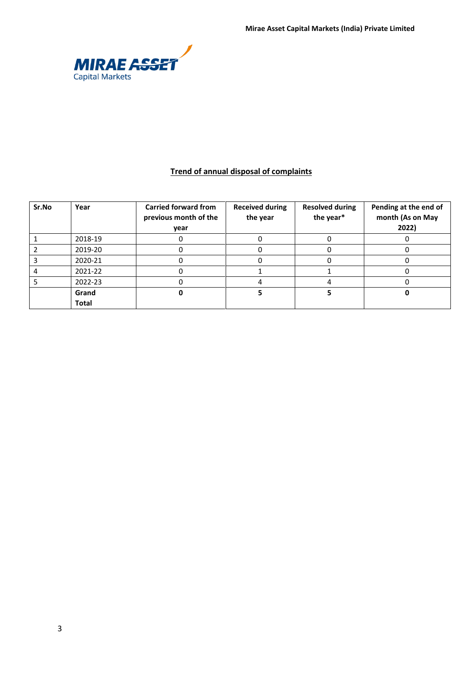

# **Trend of annual disposal of complaints**

| Sr.No | Year    | <b>Carried forward from</b><br>previous month of the<br>year | <b>Received during</b><br>the year | <b>Resolved during</b><br>the year* | Pending at the end of<br>month (As on May<br>2022) |
|-------|---------|--------------------------------------------------------------|------------------------------------|-------------------------------------|----------------------------------------------------|
|       | 2018-19 |                                                              |                                    |                                     |                                                    |
|       | 2019-20 |                                                              |                                    |                                     |                                                    |
|       | 2020-21 |                                                              |                                    |                                     |                                                    |
|       | 2021-22 |                                                              |                                    |                                     |                                                    |
|       | 2022-23 |                                                              |                                    |                                     |                                                    |
|       | Grand   |                                                              |                                    |                                     |                                                    |
|       | Total   |                                                              |                                    |                                     |                                                    |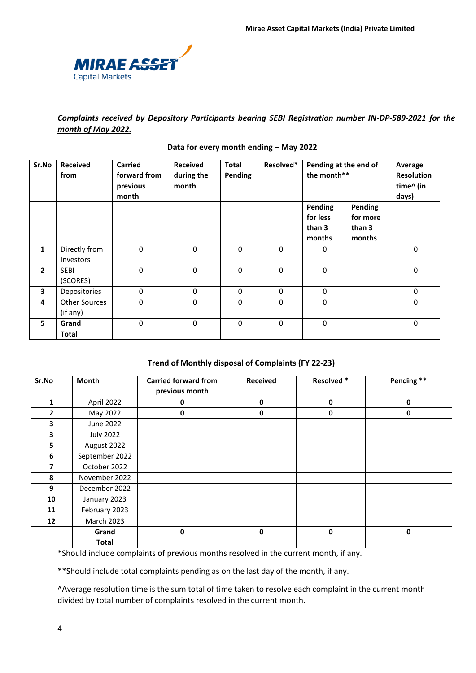

*Complaints received by Depository Participants bearing SEBI Registration number IN-DP-589-2021 for the month of May 2022.*

| Sr.No          | <b>Received</b><br>from          | <b>Carried</b><br>forward from<br>previous<br>month | <b>Received</b><br>during the<br>month | <b>Total</b><br>Pending | Resolved* | Pending at the end of<br>the month**    |                                         | Average<br><b>Resolution</b><br>time^ (in<br>days) |
|----------------|----------------------------------|-----------------------------------------------------|----------------------------------------|-------------------------|-----------|-----------------------------------------|-----------------------------------------|----------------------------------------------------|
|                |                                  |                                                     |                                        |                         |           | Pending<br>for less<br>than 3<br>months | Pending<br>for more<br>than 3<br>months |                                                    |
| $\mathbf{1}$   | Directly from<br>Investors       | $\mathbf 0$                                         | $\mathbf 0$                            | $\Omega$                | $\Omega$  | $\Omega$                                |                                         | 0                                                  |
| $\overline{2}$ | <b>SEBI</b><br>(SCORES)          | 0                                                   | 0                                      | 0                       | 0         | 0                                       |                                         | 0                                                  |
| 3              | Depositories                     | 0                                                   | 0                                      | 0                       | 0         | 0                                       |                                         | 0                                                  |
| 4              | <b>Other Sources</b><br>(if any) | 0                                                   | 0                                      | 0                       | 0         | 0                                       |                                         | 0                                                  |
| 5              | Grand<br><b>Total</b>            | 0                                                   | 0                                      | 0                       | 0         | 0                                       |                                         | 0                                                  |

#### **Data for every month ending – May 2022**

## **Trend of Monthly disposal of Complaints (FY 22-23)**

| Sr.No        | Month             | <b>Carried forward from</b><br>previous month | <b>Received</b> | Resolved * | Pending **   |
|--------------|-------------------|-----------------------------------------------|-----------------|------------|--------------|
| 1            | April 2022        | 0                                             | $\mathbf 0$     | 0          | 0            |
| $\mathbf{2}$ | May 2022          | 0                                             | $\mathbf 0$     | 0          | 0            |
| 3            | June 2022         |                                               |                 |            |              |
| 3            | <b>July 2022</b>  |                                               |                 |            |              |
| 5            | August 2022       |                                               |                 |            |              |
| 6            | September 2022    |                                               |                 |            |              |
| 7            | October 2022      |                                               |                 |            |              |
| 8            | November 2022     |                                               |                 |            |              |
| 9            | December 2022     |                                               |                 |            |              |
| 10           | January 2023      |                                               |                 |            |              |
| 11           | February 2023     |                                               |                 |            |              |
| 12           | <b>March 2023</b> |                                               |                 |            |              |
|              | Grand             | $\mathbf 0$                                   | $\mathbf{0}$    | 0          | $\mathbf{0}$ |
|              | <b>Total</b>      |                                               |                 |            |              |

\*Should include complaints of previous months resolved in the current month, if any.

\*\*Should include total complaints pending as on the last day of the month, if any.

^Average resolution time is the sum total of time taken to resolve each complaint in the current month divided by total number of complaints resolved in the current month.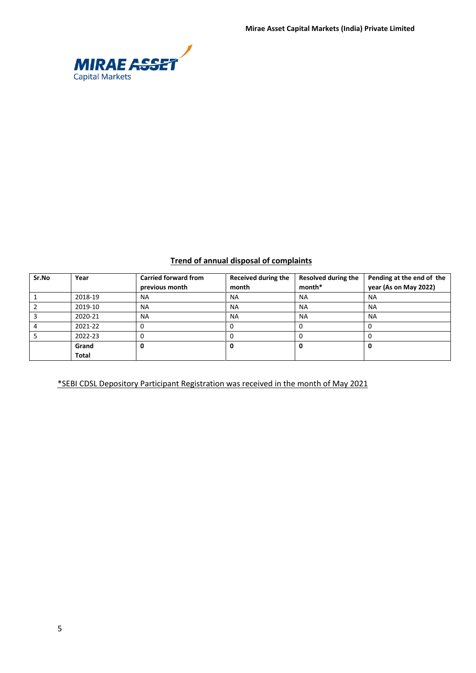**Mirae Asset Capital Markets (India) Private Limited** 



# **Trend of annual disposal of complaints**

| Sr.No | Year    | <b>Carried forward from</b><br>previous month | <b>Received during the</b><br>month | <b>Resolved during the</b><br>month* | Pending at the end of the<br>year (As on May 2022) |
|-------|---------|-----------------------------------------------|-------------------------------------|--------------------------------------|----------------------------------------------------|
|       | 2018-19 | <b>NA</b>                                     | <b>NA</b>                           | <b>NA</b>                            | <b>NA</b>                                          |
|       | 2019-10 | <b>NA</b>                                     | <b>NA</b>                           | <b>NA</b>                            | <b>NA</b>                                          |
|       | 2020-21 | <b>NA</b>                                     | <b>NA</b>                           | <b>NA</b>                            | <b>NA</b>                                          |
|       | 2021-22 |                                               |                                     | 0                                    | 0                                                  |
|       | 2022-23 |                                               |                                     | U                                    |                                                    |
|       | Grand   |                                               |                                     | 0                                    | O                                                  |
|       | Total   |                                               |                                     |                                      |                                                    |

\*SEBI CDSL Depository Participant Registration was received in the month of May 2021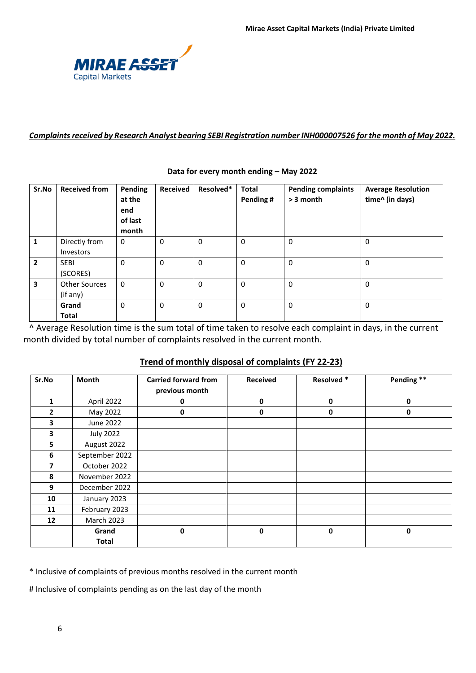

## *Complaints received by Research Analyst bearing SEBI Registration number INH000007526 forthe month of May 2022.*

| Sr.No                   | <b>Received from</b>       | Pending<br>at the<br>end<br>of last<br>month | <b>Received</b> | Resolved* | <b>Total</b><br>Pending # | <b>Pending complaints</b><br>> 3 month | <b>Average Resolution</b><br>time^ (in days) |
|-------------------------|----------------------------|----------------------------------------------|-----------------|-----------|---------------------------|----------------------------------------|----------------------------------------------|
| 1                       | Directly from<br>Investors | 0                                            | 0               | 0         | $\Omega$                  | 0                                      | 0                                            |
| $\overline{2}$          | <b>SEBI</b><br>(SCORES)    | 0                                            | 0               | 0         | 0                         | 0                                      | 0                                            |
| $\overline{\mathbf{3}}$ | Other Sources<br>(if any)  | 0                                            | 0               | 0         | 0                         | 0                                      | 0                                            |
|                         | Grand<br><b>Total</b>      | $\Omega$                                     | 0               | 0         | 0                         | 0                                      | 0                                            |

#### **Data for every month ending – May 2022**

^ Average Resolution time is the sum total of time taken to resolve each complaint in days, in the current month divided by total number of complaints resolved in the current month.

#### **Trend of monthly disposal of complaints (FY 22-23)**

| Sr.No          | <b>Month</b>      | <b>Carried forward from</b><br>previous month | <b>Received</b> | Resolved *  | Pending ** |
|----------------|-------------------|-----------------------------------------------|-----------------|-------------|------------|
| 1              | April 2022        | 0                                             | $\mathbf 0$     | $\mathbf 0$ | 0          |
| $\mathbf{2}$   | May 2022          | 0                                             | 0               | 0           | 0          |
| 3              | June 2022         |                                               |                 |             |            |
| 3              | <b>July 2022</b>  |                                               |                 |             |            |
| 5              | August 2022       |                                               |                 |             |            |
| 6              | September 2022    |                                               |                 |             |            |
| $\overline{ }$ | October 2022      |                                               |                 |             |            |
| 8              | November 2022     |                                               |                 |             |            |
| 9              | December 2022     |                                               |                 |             |            |
| 10             | January 2023      |                                               |                 |             |            |
| 11             | February 2023     |                                               |                 |             |            |
| 12             | <b>March 2023</b> |                                               |                 |             |            |
|                | Grand             | 0                                             | 0               | 0           | 0          |
|                | <b>Total</b>      |                                               |                 |             |            |

\* Inclusive of complaints of previous months resolved in the current month

# Inclusive of complaints pending as on the last day of the month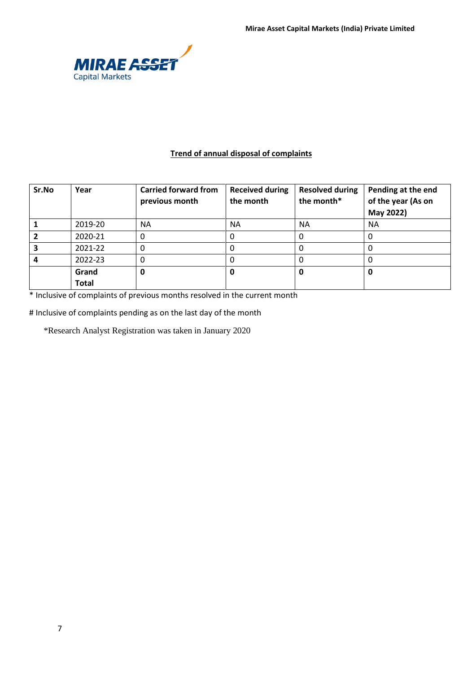

# **Trend of annual disposal of complaints**

| Sr.No | Year         | <b>Carried forward from</b><br>previous month | <b>Received during</b><br>the month | <b>Resolved during</b><br>the month* | Pending at the end<br>of the year (As on<br>May 2022) |
|-------|--------------|-----------------------------------------------|-------------------------------------|--------------------------------------|-------------------------------------------------------|
|       | 2019-20      | <b>NA</b>                                     | <b>NA</b>                           | <b>NA</b>                            | <b>NA</b>                                             |
|       | 2020-21      | 0                                             |                                     |                                      | 0                                                     |
|       | 2021-22      | 0                                             | O                                   | 0                                    | 0                                                     |
|       | 2022-23      | 0                                             |                                     | 0                                    | 0                                                     |
|       | Grand        | 0                                             | 0                                   | 0                                    | 0                                                     |
|       | <b>Total</b> |                                               |                                     |                                      |                                                       |

\* Inclusive of complaints of previous months resolved in the current month

# Inclusive of complaints pending as on the last day of the month

\*Research Analyst Registration was taken in January 2020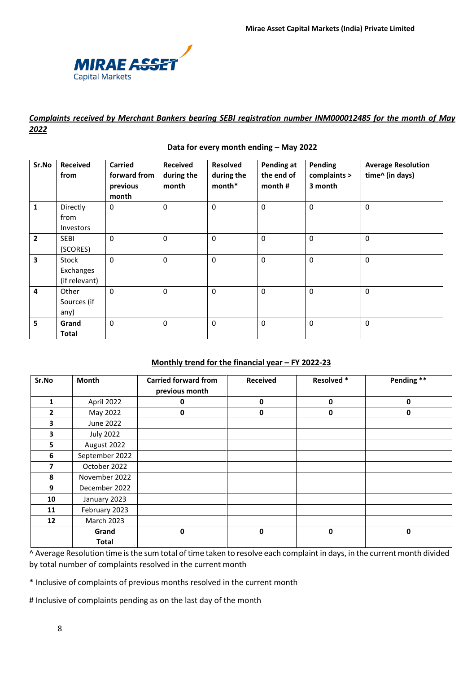

*Complaints received by Merchant Bankers bearing SEBI registration number INM000012485 for the month of May 2022*

| Sr.No          | <b>Received</b><br>from             | <b>Carried</b><br>forward from<br>previous<br>month | <b>Received</b><br>during the<br>month | <b>Resolved</b><br>during the<br>month* | Pending at<br>the end of<br>month $#$ | Pending<br>complaints ><br>3 month | <b>Average Resolution</b><br>time^ (in days) |
|----------------|-------------------------------------|-----------------------------------------------------|----------------------------------------|-----------------------------------------|---------------------------------------|------------------------------------|----------------------------------------------|
| $\mathbf{1}$   | Directly<br>from<br>Investors       | $\mathbf 0$                                         | $\Omega$                               | $\mathbf 0$                             | $\mathbf 0$                           | $\Omega$                           | 0                                            |
| $\overline{2}$ | <b>SEBI</b><br>(SCORES)             | $\mathbf{0}$                                        | $\Omega$                               | $\mathbf 0$                             | $\mathbf 0$                           | $\Omega$                           | $\Omega$                                     |
| 3              | Stock<br>Exchanges<br>(if relevant) | $\Omega$                                            | $\mathbf 0$                            | $\mathbf 0$                             | $\mathbf 0$                           | $\Omega$                           | $\Omega$                                     |
| $\overline{4}$ | Other<br>Sources (if<br>any)        | $\Omega$                                            | $\Omega$                               | $\mathbf 0$                             | $\mathbf 0$                           | $\Omega$                           | $\mathbf 0$                                  |
| 5              | Grand<br><b>Total</b>               | 0                                                   | $\Omega$                               | $\mathbf 0$                             | $\mathbf 0$                           | $\Omega$                           | 0                                            |

#### **Data for every month ending – May 2022**

## **Monthly trend for the financial year – FY 2022-23**

| Sr.No                   | <b>Month</b>          | <b>Carried forward from</b><br>previous month | <b>Received</b> | Resolved * | Pending **  |
|-------------------------|-----------------------|-----------------------------------------------|-----------------|------------|-------------|
| $\mathbf{1}$            | April 2022            | 0                                             | $\mathbf{0}$    | 0          | $\mathbf 0$ |
| $\overline{2}$          | May 2022              | 0                                             | 0               | 0          | 0           |
| 3                       | June 2022             |                                               |                 |            |             |
| $\overline{\mathbf{3}}$ | <b>July 2022</b>      |                                               |                 |            |             |
| 5.                      | August 2022           |                                               |                 |            |             |
| 6                       | September 2022        |                                               |                 |            |             |
| $\overline{7}$          | October 2022          |                                               |                 |            |             |
| 8                       | November 2022         |                                               |                 |            |             |
| 9                       | December 2022         |                                               |                 |            |             |
| 10                      | January 2023          |                                               |                 |            |             |
| 11                      | February 2023         |                                               |                 |            |             |
| $12 \overline{ }$       | <b>March 2023</b>     |                                               |                 |            |             |
|                         | Grand<br><b>Total</b> | $\mathbf{0}$                                  | 0               | 0          | 0           |

^ Average Resolution time is the sum total of time taken to resolve each complaint in days, in the current month divided by total number of complaints resolved in the current month

\* Inclusive of complaints of previous months resolved in the current month

# Inclusive of complaints pending as on the last day of the month